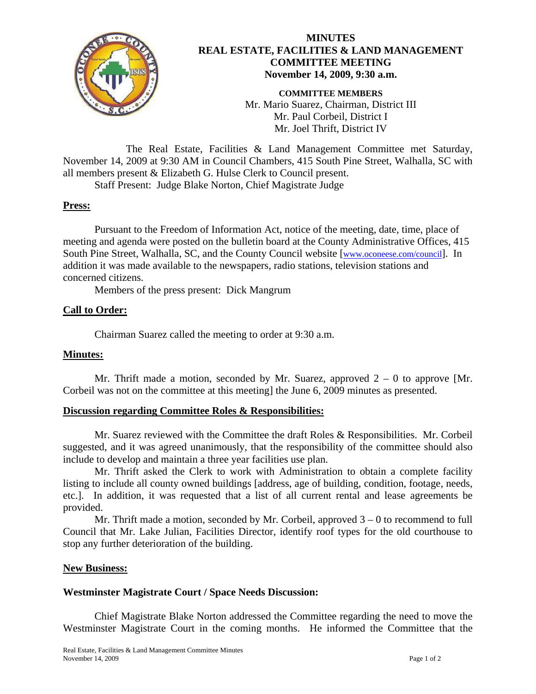

# **MINUTES REAL ESTATE, FACILITIES & LAND MANAGEMENT COMMITTEE MEETING November 14, 2009, 9:30 a.m.**

**COMMITTEE MEMBERS**  Mr. Mario Suarez, Chairman, District III Mr. Paul Corbeil, District I Mr. Joel Thrift, District IV

 The Real Estate, Facilities & Land Management Committee met Saturday, November 14, 2009 at 9:30 AM in Council Chambers, 415 South Pine Street, Walhalla, SC with all members present & Elizabeth G. Hulse Clerk to Council present.

Staff Present: Judge Blake Norton, Chief Magistrate Judge

### **Press:**

Pursuant to the Freedom of Information Act, notice of the meeting, date, time, place of meeting and agenda were posted on the bulletin board at the County Administrative Offices, 415 South Pine Street, Walhalla, SC, and the County Council website [\[www.oconeese.com/council\]](http://www.oconeese.com/council). In addition it was made available to the newspapers, radio stations, television stations and concerned citizens.

Members of the press present: Dick Mangrum

# **Call to Order:**

Chairman Suarez called the meeting to order at 9:30 a.m.

#### **Minutes:**

Mr. Thrift made a motion, seconded by Mr. Suarez, approved  $2 - 0$  to approve [Mr. Corbeil was not on the committee at this meeting] the June 6, 2009 minutes as presented.

#### **Discussion regarding Committee Roles & Responsibilities:**

Mr. Suarez reviewed with the Committee the draft Roles & Responsibilities. Mr. Corbeil suggested, and it was agreed unanimously, that the responsibility of the committee should also include to develop and maintain a three year facilities use plan.

Mr. Thrift asked the Clerk to work with Administration to obtain a complete facility listing to include all county owned buildings [address, age of building, condition, footage, needs, etc.]. In addition, it was requested that a list of all current rental and lease agreements be provided.

Mr. Thrift made a motion, seconded by Mr. Corbeil, approved  $3 - 0$  to recommend to full Council that Mr. Lake Julian, Facilities Director, identify roof types for the old courthouse to stop any further deterioration of the building.

#### **New Business:**

#### **Westminster Magistrate Court / Space Needs Discussion:**

Chief Magistrate Blake Norton addressed the Committee regarding the need to move the Westminster Magistrate Court in the coming months. He informed the Committee that the